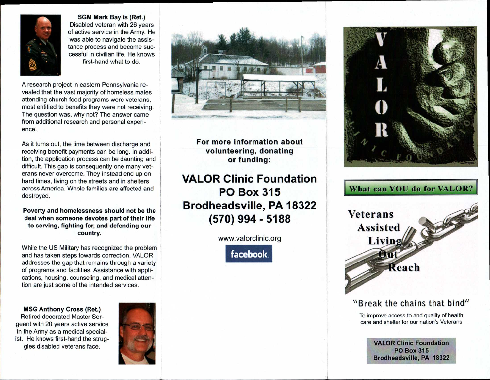

**SGM Mark Baylis (Ret.)**  Disabled veteran with 26 years of active service in the Army. He was able to navigate the assistance process and become successful in civilian life. He knows first-hand what to do.

A research project in eastern Pennsylvania revealed that the vast majority of homeless males attending church food programs were veterans, most entitled to benefits they were not receiving. The question was, why not? The answer came from additional research and personal experience.

As it turns out, the time between discharge and receiving benefit payments can be long. In addition, the application process can be daunting and difficult. This gap is consequently one many veterans never overcome. They instead end up on hard times, living on the streets and in shelters across America. Whole families are affected and destroyed.

**Poverty and homelessness should not be the deal when someone devotes part of their life to serving, fighting for, and defending our country.** 

While the US Military has recognized the problem and has taken steps towards correction, VALOR addresses the gap that remains through a variety of programs and facilities. Assistance with applications, housing, counseling, and medical attention are just some of the intended services.

**MSG Anthony Cross (Ret.)**  Retired decorated Master Sergeant with 20 years active service in the Army as a medical specialist. He knows first-hand the struggles disabled veterans face.





**For more information about volunteering, donating or funding:** 

**VALOR Clinic Foundation PO Box 315 Brodheadsville, PA 18322 (570) 994 - 5188** 

www.valorclinic.org





## **What can YOU do for VALOR?**



### "Break the chains that bind"

To improve access to and quality of health care and shelter for our nation's Veterans

> **VALOR Clinic Foundation PO Box 315 Brodheadsville, PA 18322**